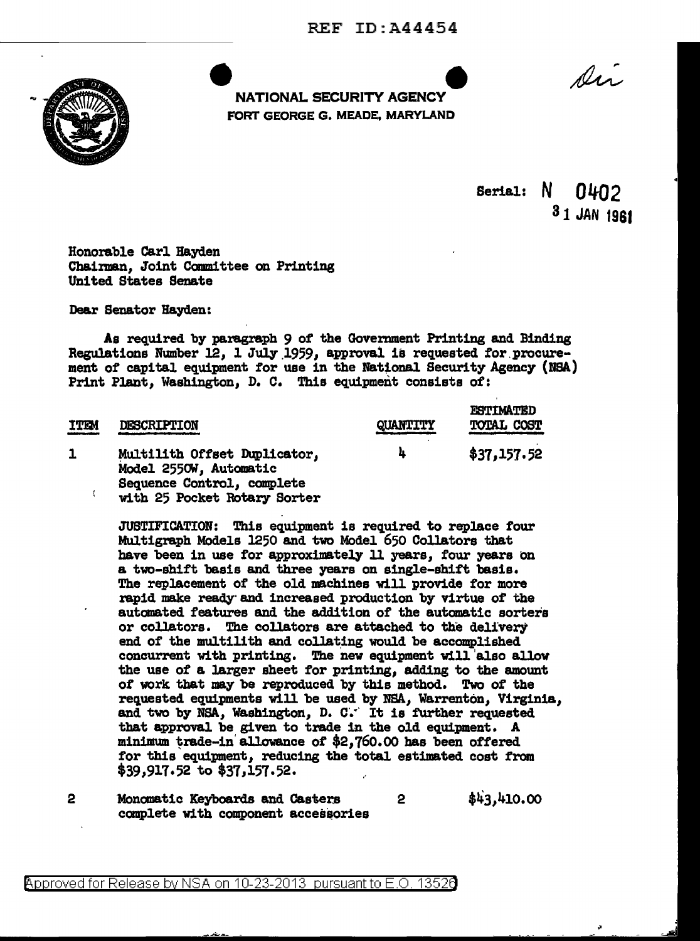REF ID:A44454



e e de la construction de la construction de la construction de la construction de la construction de la construction de la construction de la construction de la construction de la construction de la construction de la con FORT GEORGE G. MEADE, MARYLAND

Di

Serial:  $N$   $0402$ 31 JAN 1981

Honorable Carl Hayden Chairman, Joint Canmittee on Printing United States Senate

Dear Senator Hayden:

As required by paragraph 9 of the Government Printing and Binding Regulations Number 12, 1 July 1959, approval is requested for procurement of capital equipment for use in the National Security Agency (NSA) Print Plant, Washington, D. c. This equipment consists of:

| <b>ITEM</b> | DESCRIPTION                                                                                                          | QUANTITY | <b>ESTIMATED</b><br><b>TOTAL COST</b> |
|-------------|----------------------------------------------------------------------------------------------------------------------|----------|---------------------------------------|
|             | Multilith Offset Duplicator,<br>Model 2550W, Automatic<br>Sequence Control, complete<br>with 25 Pocket Rotary Sorter | h        | \$37,157.52                           |

JUSTIFICATION: This equipment is required to replace four Multigraph Models 1250 and two Model 650 Collators that have been in use for approximately 11 years, four years on a two-shift basis and three years on single-shift basis. The replacement of the old machines will provide for more rapid make ready" and increased production by virtue of the automated features and the addition of the automatic sorters or collators. The collators are attached to the delivery end of the multilith and collating would be accomplished concurrent with printing. The new equipment will 'also allow the use of a larger sheet for printing, adding to the amount of work that may be reproduced by this method. Two of the requested equipments will be used by NSA, Warrenton, Virginia, and two by NSA, Washington, D. C.<sup>..</sup> It is further requested that approval be given to trade in the old equipment. A minimum trade-in allowance of  $$2,760.00$  has been offered for this equipment, reducing the total estimated cost from  $$39,917.52$  to  $$37,157.52$ .

2 Monomatic Keyboards and Casters 2  $\frac{1}{4}$ ,410.00 complete with component accessories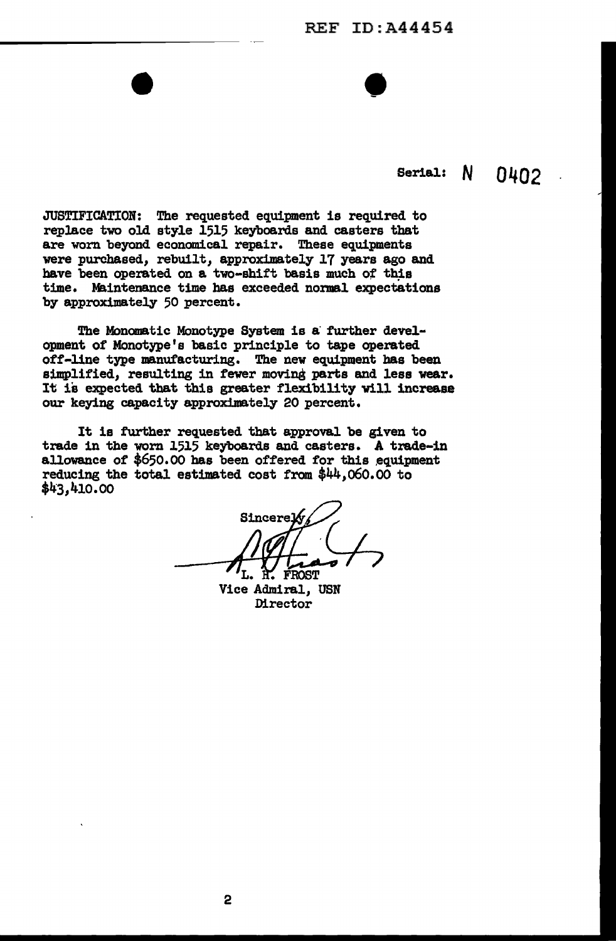## REF ID:A44454

•

## Serial: **N 0402**

JUSTIFICATION: The requested equipment is required to replace two old style 1515 keyboards and casters that are worn beyond economical repair. These equipments were purchased, rebuilt, approximately 17 years ago and have been operated on a two-shift basis much of this time. Maintenance time has exceeded normal expectations by approximately 50 percent.

The Monomatic Monotype System is a further development of Monotype's basic principle to tape operated off-line type manufacturing. The new equipment has been simplified, resulting in fewer moving parts and less wear. It is expected that this greater flexibility will increase our keying capacity approximately 20 percent.

It is further requested that approval be given to trade in the worn 1515 keyboards and casters. A trade-in allowance of  $$650.00$  has been offered for this equipment reducing the total estimated cost from \$44,o6o.oo to \$43,410.00

Sincerel FROST

Vice Admiral, USN Director